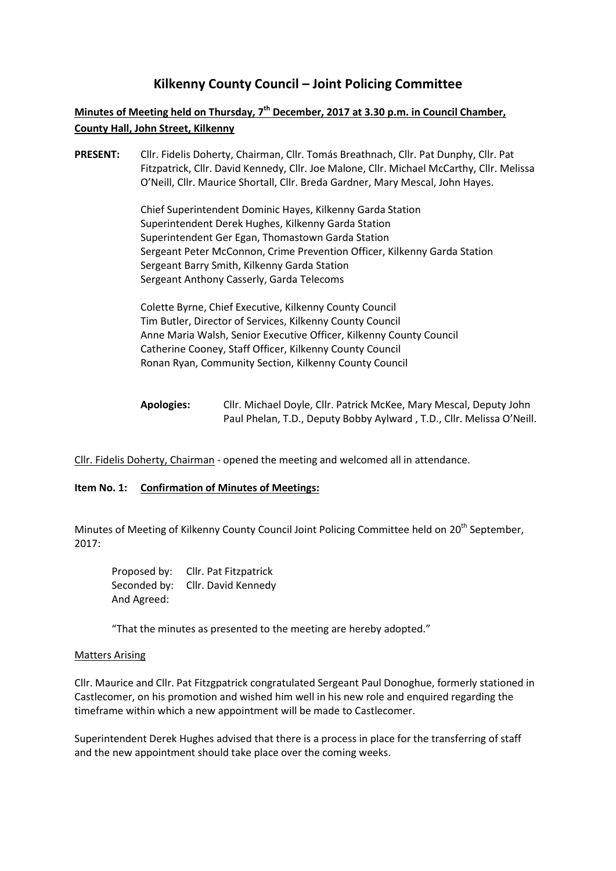# **Kilkenny County Council – Joint Policing Committee**

# **Minutes of Meeting held on Thursday, 7th December, 2017 at 3.30 p.m. in Council Chamber, County Hall, John Street, Kilkenny**

**PRESENT:** Cllr. Fidelis Doherty, Chairman, Cllr. Tomás Breathnach, Cllr. Pat Dunphy, Cllr. Pat Fitzpatrick, Cllr. David Kennedy, Cllr. Joe Malone, Cllr. Michael McCarthy, Cllr. Melissa O'Neill, Cllr. Maurice Shortall, Cllr. Breda Gardner, Mary Mescal, John Hayes.

> Chief Superintendent Dominic Hayes, Kilkenny Garda Station Superintendent Derek Hughes, Kilkenny Garda Station Superintendent Ger Egan, Thomastown Garda Station Sergeant Peter McConnon, Crime Prevention Officer, Kilkenny Garda Station Sergeant Barry Smith, Kilkenny Garda Station Sergeant Anthony Casserly, Garda Telecoms

Colette Byrne, Chief Executive, Kilkenny County Council Tim Butler, Director of Services, Kilkenny County Council Anne Maria Walsh, Senior Executive Officer, Kilkenny County Council Catherine Cooney, Staff Officer, Kilkenny County Council Ronan Ryan, Community Section, Kilkenny County Council

Cllr. Fidelis Doherty, Chairman - opened the meeting and welcomed all in attendance.

## **Item No. 1: Confirmation of Minutes of Meetings:**

Minutes of Meeting of Kilkenny County Council Joint Policing Committee held on 20<sup>th</sup> September, 2017:

Proposed by: Cllr. Pat Fitzpatrick Seconded by: Cllr. David Kennedy And Agreed:

"That the minutes as presented to the meeting are hereby adopted."

#### Matters Arising

Cllr. Maurice and Cllr. Pat Fitzgpatrick congratulated Sergeant Paul Donoghue, formerly stationed in Castlecomer, on his promotion and wished him well in his new role and enquired regarding the timeframe within which a new appointment will be made to Castlecomer.

Superintendent Derek Hughes advised that there is a process in place for the transferring of staff and the new appointment should take place over the coming weeks.

**Apologies:** Cllr. Michael Doyle, Cllr. Patrick McKee, Mary Mescal, Deputy John Paul Phelan, T.D., Deputy Bobby Aylward , T.D., Cllr. Melissa O'Neill.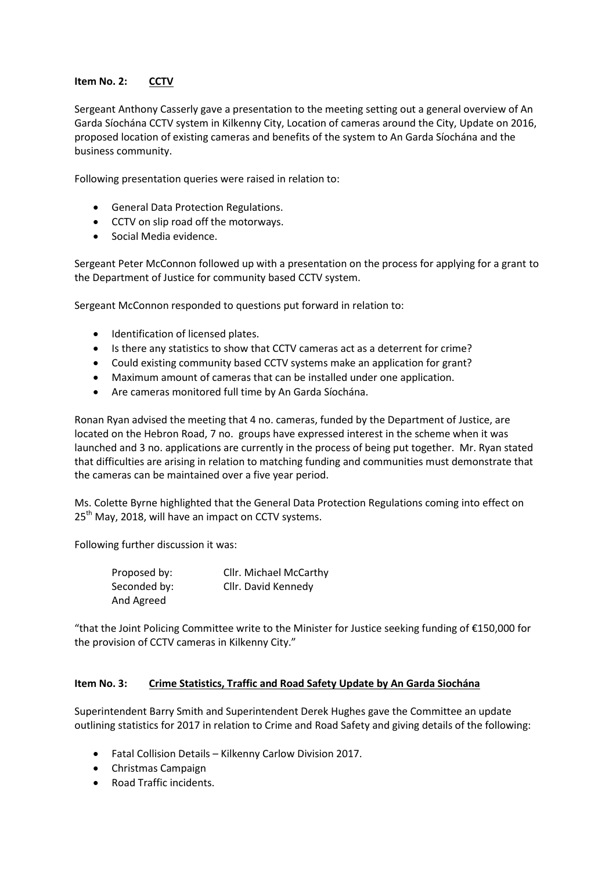# **Item No. 2: CCTV**

Sergeant Anthony Casserly gave a presentation to the meeting setting out a general overview of An Garda Síochána CCTV system in Kilkenny City, Location of cameras around the City, Update on 2016, proposed location of existing cameras and benefits of the system to An Garda Síochána and the business community.

Following presentation queries were raised in relation to:

- **•** General Data Protection Regulations.
- CCTV on slip road off the motorways.
- Social Media evidence.

Sergeant Peter McConnon followed up with a presentation on the process for applying for a grant to the Department of Justice for community based CCTV system.

Sergeant McConnon responded to questions put forward in relation to:

- $\bullet$  Identification of licensed plates.
- Is there any statistics to show that CCTV cameras act as a deterrent for crime?
- Could existing community based CCTV systems make an application for grant?
- Maximum amount of cameras that can be installed under one application.
- Are cameras monitored full time by An Garda Síochána.

Ronan Ryan advised the meeting that 4 no. cameras, funded by the Department of Justice, are located on the Hebron Road, 7 no. groups have expressed interest in the scheme when it was launched and 3 no. applications are currently in the process of being put together. Mr. Ryan stated that difficulties are arising in relation to matching funding and communities must demonstrate that the cameras can be maintained over a five year period.

Ms. Colette Byrne highlighted that the General Data Protection Regulations coming into effect on  $25<sup>th</sup>$  May, 2018, will have an impact on CCTV systems.

Following further discussion it was:

Proposed by: Cllr. Michael McCarthy Seconded by: Cllr. David Kennedy And Agreed

"that the Joint Policing Committee write to the Minister for Justice seeking funding of €150,000 for the provision of CCTV cameras in Kilkenny City."

## **Item No. 3: Crime Statistics, Traffic and Road Safety Update by An Garda Siochána**

Superintendent Barry Smith and Superintendent Derek Hughes gave the Committee an update outlining statistics for 2017 in relation to Crime and Road Safety and giving details of the following:

- Fatal Collision Details Kilkenny Carlow Division 2017.
- Christmas Campaign
- Road Traffic incidents.